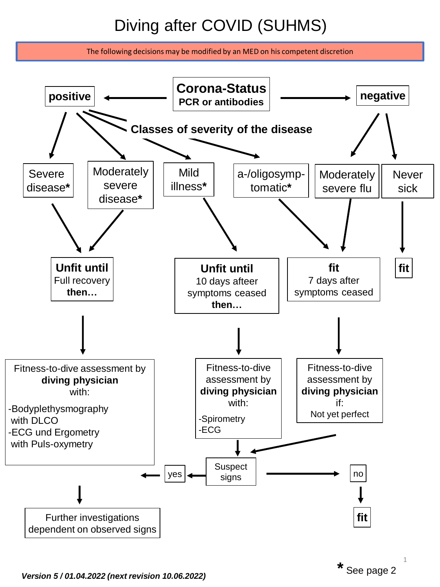# Diving after COVID (SUHMS)

The following decisions may be modified by an MED on his competent discretion

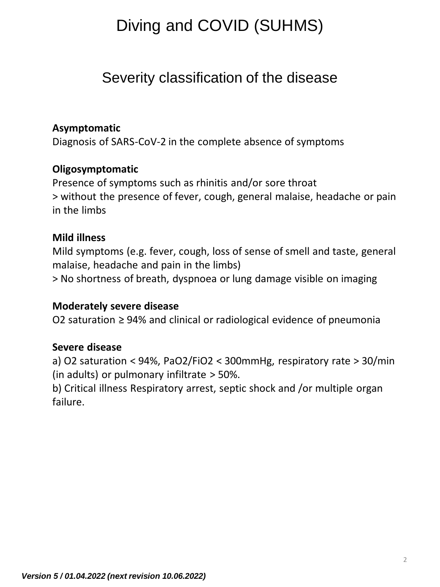## Diving and COVID (SUHMS)

### Severity classification of the disease

#### **Asymptomatic**

Diagnosis of SARS-CoV-2 in the complete absence of symptoms

#### **Oligosymptomatic**

Presence of symptoms such as rhinitis and/or sore throat > without the presence of fever, cough, general malaise, headache or pain in the limbs

#### **Mild illness**

Mild symptoms (e.g. fever, cough, loss of sense of smell and taste, general malaise, headache and pain in the limbs)

> No shortness of breath, dyspnoea or lung damage visible on imaging

#### **Moderately severe disease**

O2 saturation ≥ 94% and clinical or radiological evidence of pneumonia

#### **Severe disease**

a) O2 saturation < 94%, PaO2/FiO2 < 300mmHg, respiratory rate > 30/min (in adults) or pulmonary infiltrate > 50%.

b) Critical illness Respiratory arrest, septic shock and /or multiple organ failure.